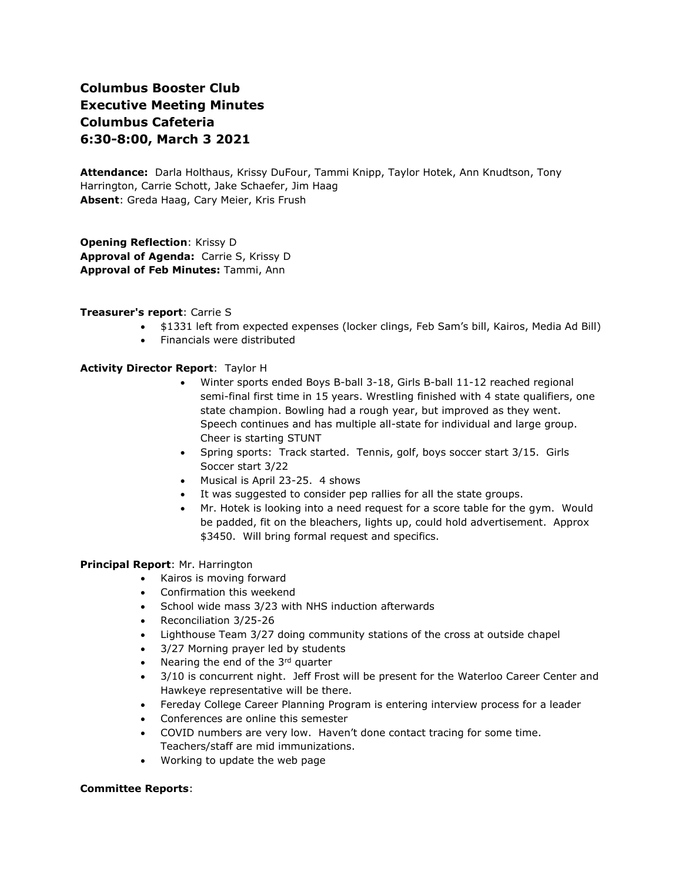# **Columbus Booster Club Executive Meeting Minutes Columbus Cafeteria 6:30-8:00, March 3 2021**

**Attendance:** Darla Holthaus, Krissy DuFour, Tammi Knipp, Taylor Hotek, Ann Knudtson, Tony Harrington, Carrie Schott, Jake Schaefer, Jim Haag **Absent**: Greda Haag, Cary Meier, Kris Frush

**Opening Reflection**: Krissy D **Approval of Agenda:** Carrie S, Krissy D **Approval of Feb Minutes:** Tammi, Ann

## **Treasurer's report**: Carrie S

- \$1331 left from expected expenses (locker clings, Feb Sam's bill, Kairos, Media Ad Bill)
- Financials were distributed

## **Activity Director Report**: Taylor H

- Winter sports ended Boys B-ball 3-18, Girls B-ball 11-12 reached regional semi-final first time in 15 years. Wrestling finished with 4 state qualifiers, one state champion. Bowling had a rough year, but improved as they went. Speech continues and has multiple all-state for individual and large group. Cheer is starting STUNT
- Spring sports: Track started. Tennis, golf, boys soccer start 3/15. Girls Soccer start 3/22
- Musical is April 23-25. 4 shows
- It was suggested to consider pep rallies for all the state groups.
- Mr. Hotek is looking into a need request for a score table for the gym. Would be padded, fit on the bleachers, lights up, could hold advertisement. Approx \$3450. Will bring formal request and specifics.

## **Principal Report**: Mr. Harrington

- Kairos is moving forward
- Confirmation this weekend
- School wide mass 3/23 with NHS induction afterwards
- Reconciliation 3/25-26
- Lighthouse Team 3/27 doing community stations of the cross at outside chapel
- 3/27 Morning prayer led by students
- Nearing the end of the 3rd quarter
- 3/10 is concurrent night. Jeff Frost will be present for the Waterloo Career Center and Hawkeye representative will be there.
- Fereday College Career Planning Program is entering interview process for a leader
- Conferences are online this semester
- COVID numbers are very low. Haven't done contact tracing for some time. Teachers/staff are mid immunizations.
- Working to update the web page

### **Committee Reports**: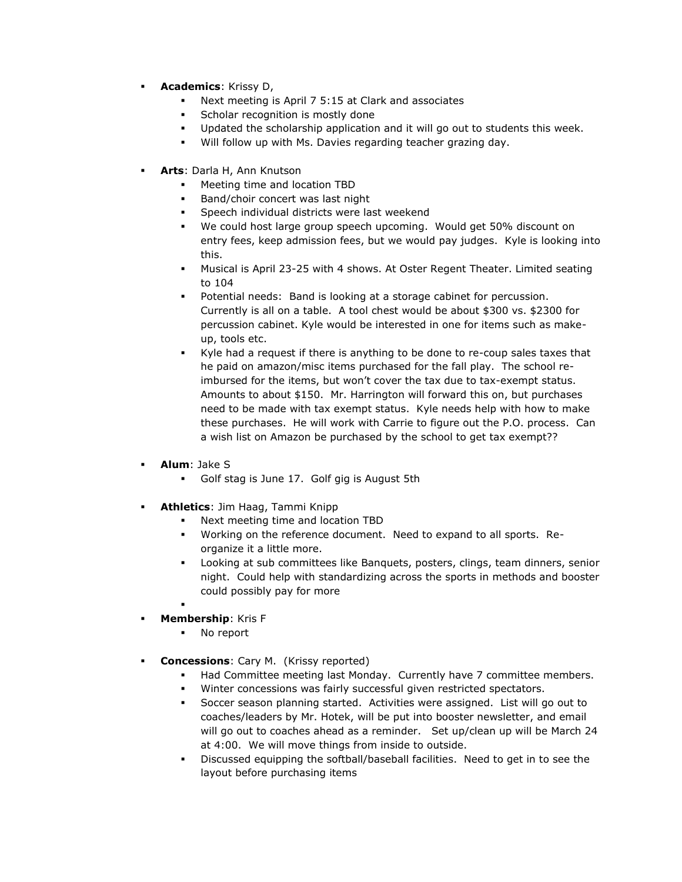- **Academics**: Krissy D,
	- Next meeting is April 7 5:15 at Clark and associates
	- Scholar recognition is mostly done
	- Updated the scholarship application and it will go out to students this week.
	- Will follow up with Ms. Davies regarding teacher grazing day.
- Arts: Darla H, Ann Knutson
	- Meeting time and location TBD
	- Band/choir concert was last night
	- Speech individual districts were last weekend
	- We could host large group speech upcoming. Would get 50% discount on entry fees, keep admission fees, but we would pay judges. Kyle is looking into this.
	- Musical is April 23-25 with 4 shows. At Oster Regent Theater. Limited seating to 104
	- Potential needs: Band is looking at a storage cabinet for percussion. Currently is all on a table. A tool chest would be about \$300 vs. \$2300 for percussion cabinet. Kyle would be interested in one for items such as makeup, tools etc.
	- Kyle had a request if there is anything to be done to re-coup sales taxes that he paid on amazon/misc items purchased for the fall play. The school reimbursed for the items, but won't cover the tax due to tax-exempt status. Amounts to about \$150. Mr. Harrington will forward this on, but purchases need to be made with tax exempt status. Kyle needs help with how to make these purchases. He will work with Carrie to figure out the P.O. process. Can a wish list on Amazon be purchased by the school to get tax exempt??
- **Alum**: Jake S
	- Golf stag is June 17. Golf gig is August 5th
- **Athletics**: Jim Haag, Tammi Knipp
	- Next meeting time and location TBD
	- Working on the reference document. Need to expand to all sports. Reorganize it a little more.
	- Looking at sub committees like Banquets, posters, clings, team dinners, senior night. Could help with standardizing across the sports in methods and booster could possibly pay for more
	- ▪
- **Membership**: Kris F
	- No report
- **Concessions:** Cary M. (Krissy reported)
	- Had Committee meeting last Monday. Currently have 7 committee members.
	- Winter concessions was fairly successful given restricted spectators.
	- Soccer season planning started. Activities were assigned. List will go out to coaches/leaders by Mr. Hotek, will be put into booster newsletter, and email will go out to coaches ahead as a reminder. Set up/clean up will be March 24 at 4:00. We will move things from inside to outside.
	- Discussed equipping the softball/baseball facilities. Need to get in to see the layout before purchasing items